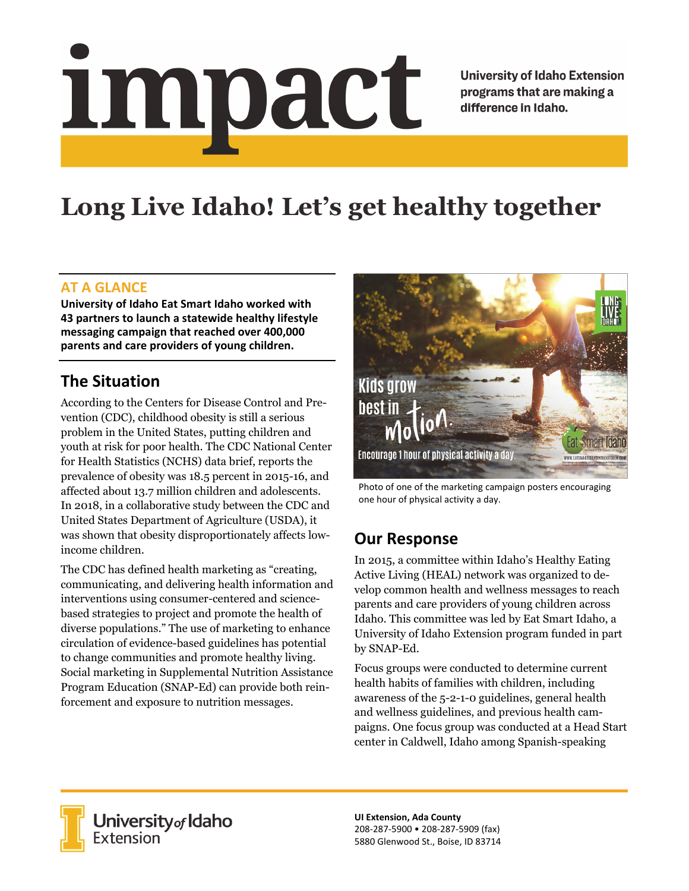# <u>impact</u>

**University of Idaho Extension** programs that are making a difference in Idaho.

# **Long Live Idaho! Let's get healthy together**

### **AT A GLANCE**

**University of Idaho Eat Smart Idaho worked with 43 partners to launch a statewide healthy lifestyle messaging campaign that reached over 400,000 parents and care providers of young children.** 

# **The Situation**

According to the Centers for Disease Control and Prevention (CDC), childhood obesity is still a serious problem in the United States, putting children and youth at risk for poor health. The CDC National Center for Health Statistics (NCHS) data brief, reports the prevalence of obesity was 18.5 percent in 2015-16, and affected about 13.7 million children and adolescents. In 2018, in a collaborative study between the CDC and United States Department of Agriculture (USDA), it was shown that obesity disproportionately affects lowincome children.

The CDC has defined health marketing as "creating, communicating, and delivering health information and interventions using consumer-centered and sciencebased strategies to project and promote the health of diverse populations." The use of marketing to enhance circulation of evidence-based guidelines has potential to change communities and promote healthy living. Social marketing in Supplemental Nutrition Assistance Program Education (SNAP-Ed) can provide both reinforcement and exposure to nutrition messages.



Photo of one of the marketing campaign posters encouraging one hour of physical activity a day.

### **Our Response**

In 2015, a committee within Idaho's Healthy Eating Active Living (HEAL) network was organized to develop common health and wellness messages to reach parents and care providers of young children across Idaho. This committee was led by Eat Smart Idaho, a University of Idaho Extension program funded in part by SNAP-Ed.

Focus groups were conducted to determine current health habits of families with children, including awareness of the 5-2-1-0 guidelines, general health and wellness guidelines, and previous health campaigns. One focus group was conducted at a Head Start center in Caldwell, Idaho among Spanish-speaking



University of Idaho<br>Extension

**UI Extension, Ada County**  208‐287‐5900 • 208‐287‐5909 (fax) 5880 Glenwood St., Boise, ID 83714